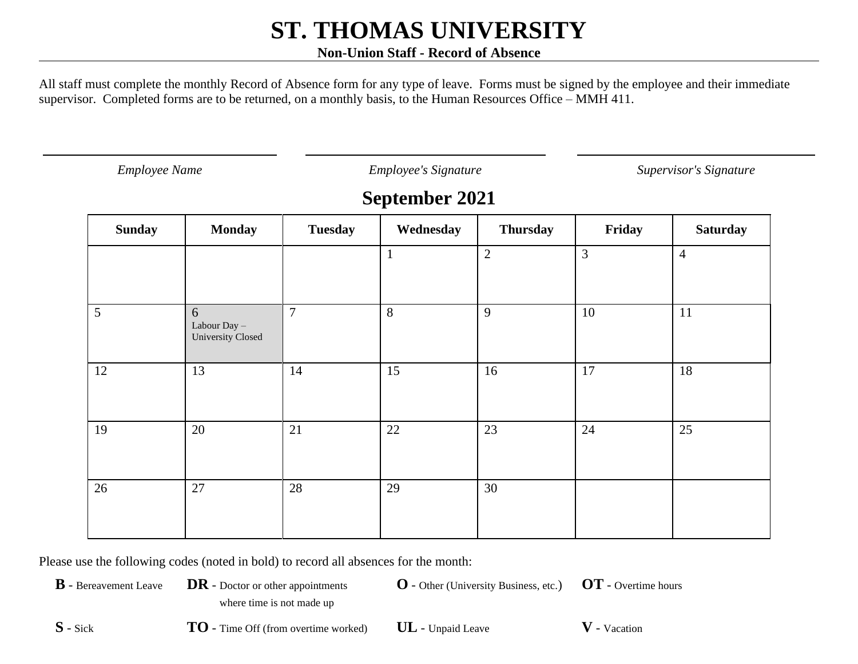#### **Non-Union Staff - Record of Absence**

All staff must complete the monthly Record of Absence form for any type of leave. Forms must be signed by the employee and their immediate supervisor. Completed forms are to be returned, on a monthly basis, to the Human Resources Office – MMH 411.

*Employee Name Employee's Signature Supervisor's Signature*

### **September 2021**

| <b>Sunday</b>   | <b>Monday</b>                            | <b>Tuesday</b> | Wednesday    | <b>Thursday</b> | Friday         | <b>Saturday</b> |
|-----------------|------------------------------------------|----------------|--------------|-----------------|----------------|-----------------|
|                 |                                          |                | $\mathbf{1}$ | $\overline{2}$  | $\overline{3}$ | $\overline{4}$  |
| $5\overline{)}$ | 6<br>Labour Day $-$<br>University Closed | $\overline{7}$ | 8            | 9               | 10             | 11              |
| 12              | 13                                       | 14             | 15           | 16              | 17             | 18              |
| 19              | 20                                       | 21             | 22           | 23              | 24             | 25              |
| 26              | 27                                       | 28             | 29           | 30              |                |                 |

Please use the following codes (noted in bold) to record all absences for the month:

**B** - Bereavement Leave **DR** - Doctor or other appointments where time is not made up

**O** - Other (University Business, etc.) **OT** - Overtime hours

**S** - Sick **TO** - Time Off (from overtime worked) **UL** - Unpaid Leave **V** - Vacation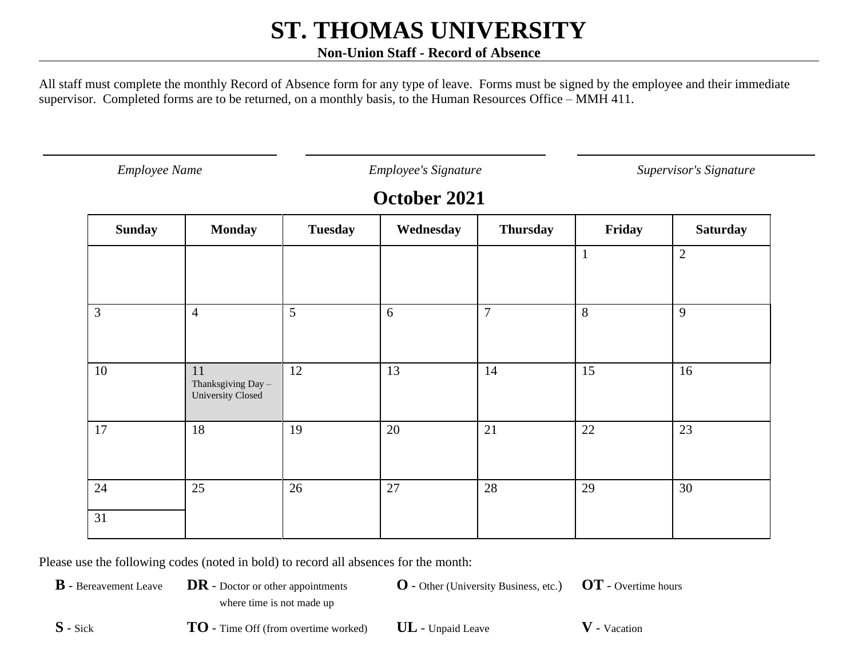#### **Non-Union Staff - Record of Absence**

All staff must complete the monthly Record of Absence form for any type of leave. Forms must be signed by the employee and their immediate supervisor. Completed forms are to be returned, on a monthly basis, to the Human Resources Office – MMH 411.

*Employee Name Employee's Signature Supervisor's Signature*

## **October 2021**

| <b>Sunday</b> | <b>Monday</b>                                 | <b>Tuesday</b> | Wednesday | <b>Thursday</b> | Friday       | <b>Saturday</b> |
|---------------|-----------------------------------------------|----------------|-----------|-----------------|--------------|-----------------|
|               |                                               |                |           |                 | $\mathbf{1}$ | $\overline{2}$  |
| 3             | $\overline{4}$                                | 5              | 6         | $\overline{7}$  | 8            | 9               |
| 10            | 11<br>Thanksgiving Day -<br>University Closed | 12             | 13        | 14              | 15           | 16              |
| 17            | 18                                            | 19             | 20        | 21              | 22           | 23              |
| 24            | 25                                            | 26             | 27        | 28              | 29           | 30              |
| 31            |                                               |                |           |                 |              |                 |

Please use the following codes (noted in bold) to record all absences for the month:

**B** - Bereavement Leave **DR** - Doctor or other appointments where time is not made up

**O** - Other (University Business, etc.) **OT** - Overtime hours

**S** - Sick **TO** - Time Off (from overtime worked) **UL** - Unpaid Leave **V** - Vacation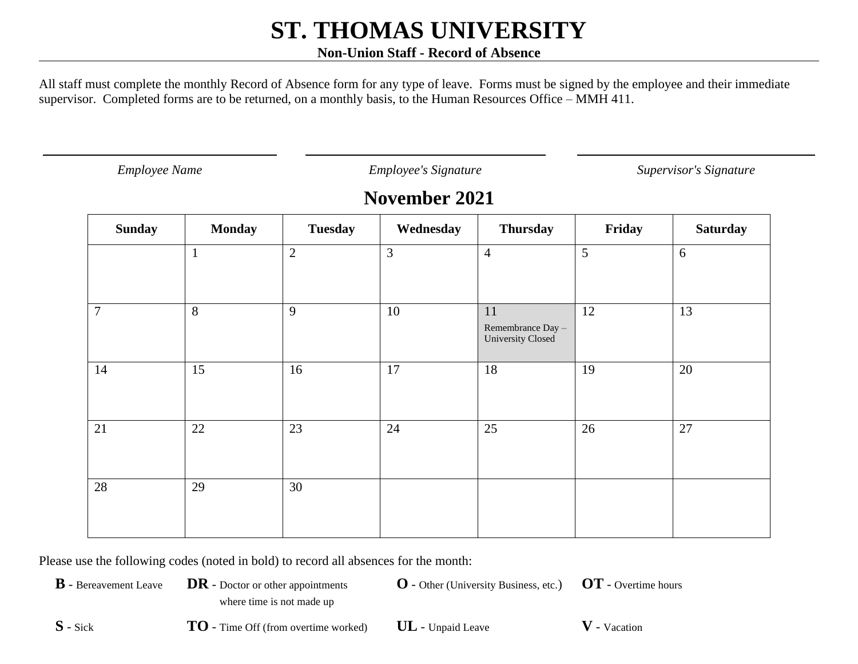#### **Non-Union Staff - Record of Absence**

All staff must complete the monthly Record of Absence form for any type of leave. Forms must be signed by the employee and their immediate supervisor. Completed forms are to be returned, on a monthly basis, to the Human Resources Office – MMH 411.

*Employee Name Employee's Signature Supervisor's Signature*

### **November 2021**

| <b>Sunday</b>    | <b>Monday</b> | <b>Tuesday</b> | Wednesday      | <b>Thursday</b>                                     | Friday | <b>Saturday</b> |
|------------------|---------------|----------------|----------------|-----------------------------------------------------|--------|-----------------|
|                  | $\mathbf{1}$  | $\overline{2}$ | $\mathfrak{Z}$ | $\overline{4}$                                      | 5      | $6\,$           |
| $\boldsymbol{7}$ | 8             | 9              | 10             | 11<br>Remembrance Day -<br><b>University Closed</b> | 12     | 13              |
| 14               | 15            | 16             | 17             | 18                                                  | 19     | 20              |
| $21\,$           | 22            | 23             | 24             | 25                                                  | 26     | 27              |
| 28               | 29            | 30             |                |                                                     |        |                 |

Please use the following codes (noted in bold) to record all absences for the month:

**B** - Bereavement Leave **DR** - Doctor or other appointments where time is not made up

**O** - Other (University Business, etc.) **OT** - Overtime hours

**S** - Sick **TO** - Time Off (from overtime worked) **UL** - Unpaid Leave **V** - Vacation